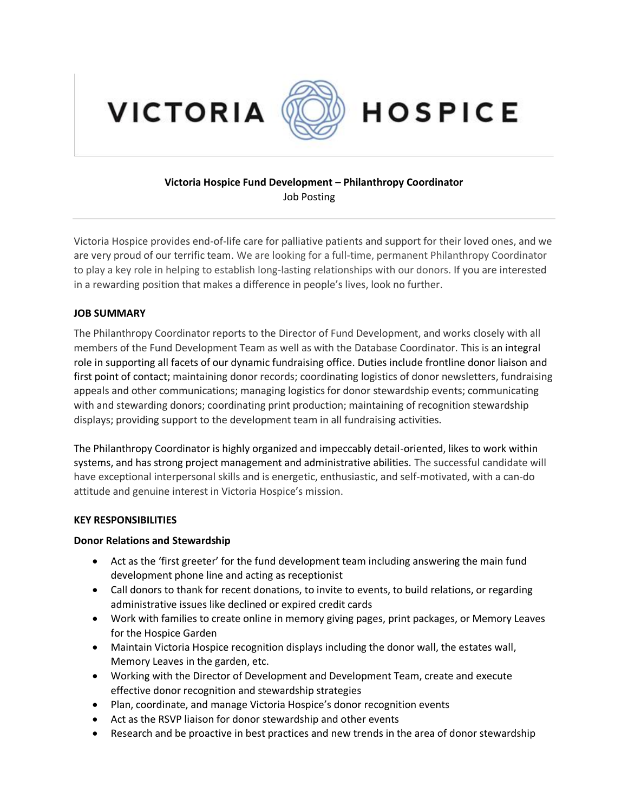



# **HOSPICE**

## **Victoria Hospice Fund Development – Philanthropy Coordinator** Job Posting

Victoria Hospice provides end-of-life care for palliative patients and support for their loved ones, and we are very proud of our terrific team. We are looking for a full-time, permanent Philanthropy Coordinator to play a key role in helping to establish long-lasting relationships with our donors. If you are interested in a rewarding position that makes a difference in people's lives, look no further.

#### **JOB SUMMARY**

The Philanthropy Coordinator reports to the Director of Fund Development, and works closely with all members of the Fund Development Team as well as with the Database Coordinator. This is an integral role in supporting all facets of our dynamic fundraising office. Duties include frontline donor liaison and first point of contact; maintaining donor records; coordinating logistics of donor newsletters, fundraising appeals and other communications; managing logistics for donor stewardship events; communicating with and stewarding donors; coordinating print production; maintaining of recognition stewardship displays; providing support to the development team in all fundraising activities.

The Philanthropy Coordinator is highly organized and impeccably detail-oriented, likes to work within systems, and has strong project management and administrative abilities. The successful candidate will have exceptional interpersonal skills and is energetic, enthusiastic, and self-motivated, with a can-do attitude and genuine interest in Victoria Hospice's mission.

#### **KEY RESPONSIBILITIES**

#### **Donor Relations and Stewardship**

- Act as the 'first greeter' for the fund development team including answering the main fund development phone line and acting as receptionist
- Call donors to thank for recent donations, to invite to events, to build relations, or regarding administrative issues like declined or expired credit cards
- Work with families to create online in memory giving pages, print packages, or Memory Leaves for the Hospice Garden
- Maintain Victoria Hospice recognition displays including the donor wall, the estates wall, Memory Leaves in the garden, etc.
- Working with the Director of Development and Development Team, create and execute effective donor recognition and stewardship strategies
- Plan, coordinate, and manage Victoria Hospice's donor recognition events
- Act as the RSVP liaison for donor stewardship and other events
- Research and be proactive in best practices and new trends in the area of donor stewardship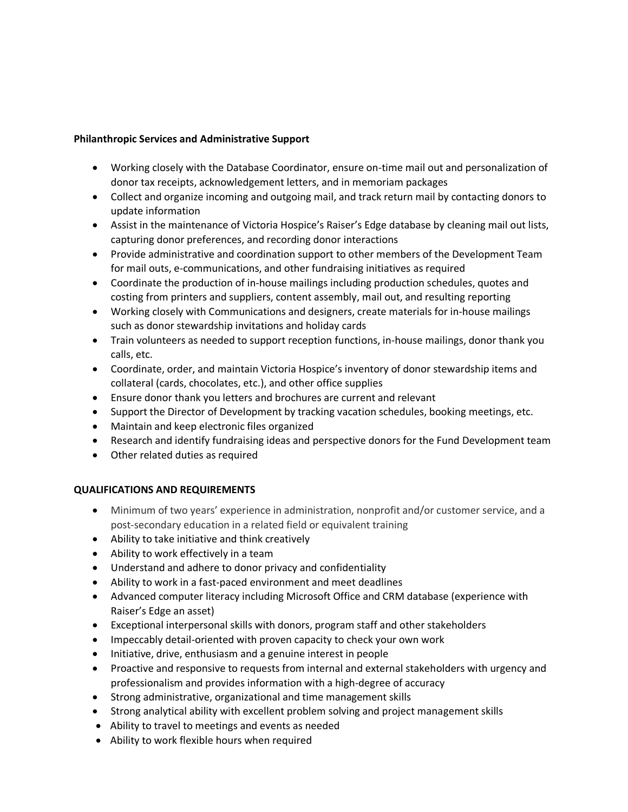### **Philanthropic Services and Administrative Support**

- Working closely with the Database Coordinator, ensure on-time mail out and personalization of donor tax receipts, acknowledgement letters, and in memoriam packages
- Collect and organize incoming and outgoing mail, and track return mail by contacting donors to update information
- Assist in the maintenance of Victoria Hospice's Raiser's Edge database by cleaning mail out lists, capturing donor preferences, and recording donor interactions
- Provide administrative and coordination support to other members of the Development Team for mail outs, e-communications, and other fundraising initiatives as required
- Coordinate the production of in-house mailings including production schedules, quotes and costing from printers and suppliers, content assembly, mail out, and resulting reporting
- Working closely with Communications and designers, create materials for in-house mailings such as donor stewardship invitations and holiday cards
- Train volunteers as needed to support reception functions, in-house mailings, donor thank you calls, etc.
- Coordinate, order, and maintain Victoria Hospice's inventory of donor stewardship items and collateral (cards, chocolates, etc.), and other office supplies
- Ensure donor thank you letters and brochures are current and relevant
- Support the Director of Development by tracking vacation schedules, booking meetings, etc.
- Maintain and keep electronic files organized
- Research and identify fundraising ideas and perspective donors for the Fund Development team
- Other related duties as required

## **QUALIFICATIONS AND REQUIREMENTS**

- Minimum of two years' experience in administration, nonprofit and/or customer service, and a post-secondary education in a related field or equivalent training
- Ability to take initiative and think creatively
- Ability to work effectively in a team
- Understand and adhere to donor privacy and confidentiality
- Ability to work in a fast-paced environment and meet deadlines
- Advanced computer literacy including Microsoft Office and CRM database (experience with Raiser's Edge an asset)
- Exceptional interpersonal skills with donors, program staff and other stakeholders
- Impeccably detail-oriented with proven capacity to check your own work
- Initiative, drive, enthusiasm and a genuine interest in people
- Proactive and responsive to requests from internal and external stakeholders with urgency and professionalism and provides information with a high-degree of accuracy
- Strong administrative, organizational and time management skills
- Strong analytical ability with excellent problem solving and project management skills
- Ability to travel to meetings and events as needed
- Ability to work flexible hours when required